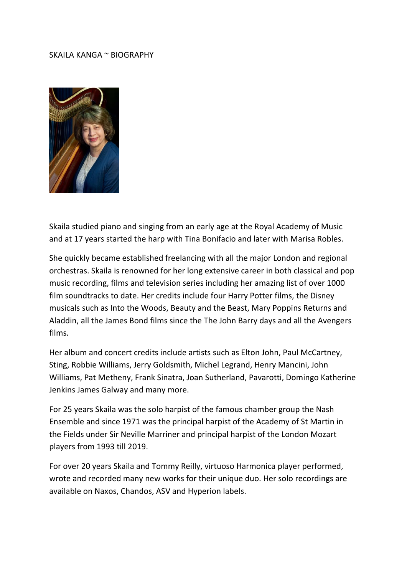## SKAILA KANGA ~ BIOGRAPHY



Skaila studied piano and singing from an early age at the Royal Academy of Music and at 17 years started the harp with Tina Bonifacio and later with Marisa Robles.

She quickly became established freelancing with all the major London and regional orchestras. Skaila is renowned for her long extensive career in both classical and pop music recording, films and television series including her amazing list of over 1000 film soundtracks to date. Her credits include four Harry Potter films, the Disney musicals such as Into the Woods, Beauty and the Beast, Mary Poppins Returns and Aladdin, all the James Bond films since the The John Barry days and all the Avengers films.

Her album and concert credits include artists such as Elton John, Paul McCartney, Sting, Robbie Williams, Jerry Goldsmith, Michel Legrand, Henry Mancini, John Williams, Pat Metheny, Frank Sinatra, Joan Sutherland, Pavarotti, Domingo Katherine Jenkins James Galway and many more.

For 25 years Skaila was the solo harpist of the famous chamber group the Nash Ensemble and since 1971 was the principal harpist of the Academy of St Martin in the Fields under Sir Neville Marriner and principal harpist of the London Mozart players from 1993 till 2019.

For over 20 years Skaila and Tommy Reilly, virtuoso Harmonica player performed, wrote and recorded many new works for their unique duo. Her solo recordings are available on Naxos, Chandos, ASV and Hyperion labels.